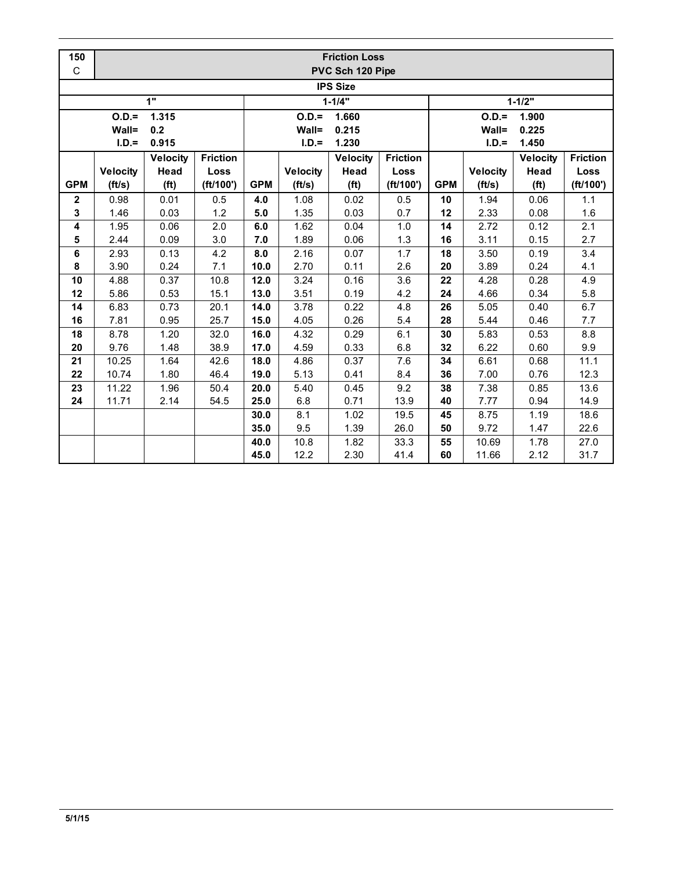| 150             | <b>Friction Loss</b> |                   |                 |                  |                 |                   |                 |                  |                 |                   |                 |
|-----------------|----------------------|-------------------|-----------------|------------------|-----------------|-------------------|-----------------|------------------|-----------------|-------------------|-----------------|
| C               | PVC Sch 120 Pipe     |                   |                 |                  |                 |                   |                 |                  |                 |                   |                 |
| <b>IPS Size</b> |                      |                   |                 |                  |                 |                   |                 |                  |                 |                   |                 |
|                 |                      | 1"                |                 |                  |                 | $1 - 1/4"$        |                 | $1 - 1/2"$       |                 |                   |                 |
|                 | $O.D.=$<br>1.315     |                   |                 | $O.D.=$<br>1.660 |                 |                   |                 | $O.D.=$<br>1.900 |                 |                   |                 |
|                 | Wall=                | 0.2               |                 |                  | Wall=           | 0.215             |                 |                  | Wall=           | 0.225             |                 |
|                 | $I.D.=$              | 0.915             |                 |                  | $I.D.=$         | 1.230             |                 |                  | $I.D.=$         | 1.450             |                 |
|                 |                      | <b>Velocity</b>   | <b>Friction</b> |                  |                 | <b>Velocity</b>   | <b>Friction</b> |                  |                 | <b>Velocity</b>   | <b>Friction</b> |
|                 | <b>Velocity</b>      | Head              | Loss            |                  | <b>Velocity</b> | Head              | Loss            |                  | <b>Velocity</b> | Head              | Loss            |
| <b>GPM</b>      | (ft/s)               | (f <sup>t</sup> ) | (ft/100')       | <b>GPM</b>       | (ft/s)          | (f <sup>t</sup> ) | (ft/100')       | <b>GPM</b>       | (ft/s)          | (f <sup>t</sup> ) | (ft/100')       |
| $\mathbf{2}$    | 0.98                 | 0.01              | 0.5             | 4.0              | 1.08            | 0.02              | 0.5             | 10               | 1.94            | 0.06              | 1.1             |
| 3               | 1.46                 | 0.03              | 1.2             | 5.0              | 1.35            | 0.03              | 0.7             | 12               | 2.33            | 0.08              | 1.6             |
| 4               | 1.95                 | 0.06              | 2.0             | 6.0              | 1.62            | 0.04              | 1.0             | 14               | 2.72            | 0.12              | 2.1             |
| 5               | 2.44                 | 0.09              | 3.0             | 7.0              | 1.89            | 0.06              | 1.3             | 16               | 3.11            | 0.15              | 2.7             |
| 6               | 2.93                 | 0.13              | 4.2             | 8.0              | 2.16            | 0.07              | 1.7             | 18               | 3.50            | 0.19              | 3.4             |
| 8               | 3.90                 | 0.24              | 7.1             | 10.0             | 2.70            | 0.11              | 2.6             | 20               | 3.89            | 0.24              | 4.1             |
| 10              | 4.88                 | 0.37              | 10.8            | 12.0             | 3.24            | 0.16              | 3.6             | 22               | 4.28            | 0.28              | 4.9             |
| 12              | 5.86                 | 0.53              | 15.1            | 13.0             | 3.51            | 0.19              | 4.2             | 24               | 4.66            | 0.34              | 5.8             |
| 14              | 6.83                 | 0.73              | 20.1            | 14.0             | 3.78            | 0.22              | 4.8             | 26               | 5.05            | 0.40              | 6.7             |
| 16              | 7.81                 | 0.95              | 25.7            | 15.0             | 4.05            | 0.26              | 5.4             | 28               | 5.44            | 0.46              | 7.7             |
| 18              | 8.78                 | 1.20              | 32.0            | 16.0             | 4.32            | 0.29              | 6.1             | 30               | 5.83            | 0.53              | 8.8             |
| 20              | 9.76                 | 1.48              | 38.9            | 17.0             | 4.59            | 0.33              | 6.8             | 32               | 6.22            | 0.60              | 9.9             |
| 21              | 10.25                | 1.64              | 42.6            | 18.0             | 4.86            | 0.37              | 7.6             | 34               | 6.61            | 0.68              | 11.1            |
| 22              | 10.74                | 1.80              | 46.4            | 19.0             | 5.13            | 0.41              | 8.4             | 36               | 7.00            | 0.76              | 12.3            |
| 23              | 11.22                | 1.96              | 50.4            | 20.0             | 5.40            | 0.45              | 9.2             | 38               | 7.38            | 0.85              | 13.6            |
| 24              | 11.71                | 2.14              | 54.5            | 25.0             | 6.8             | 0.71              | 13.9            | 40               | 7.77            | 0.94              | 14.9            |
|                 |                      |                   |                 | 30.0             | 8.1             | 1.02              | 19.5            | 45               | 8.75            | 1.19              | 18.6            |
|                 |                      |                   |                 | 35.0             | 9.5             | 1.39              | 26.0            | 50               | 9.72            | 1.47              | 22.6            |
|                 |                      |                   |                 | 40.0             | 10.8            | 1.82              | 33.3            | 55               | 10.69           | 1.78              | 27.0            |
|                 |                      |                   |                 | 45.0             | 12.2            | 2.30              | 41.4            | 60               | 11.66           | 2.12              | 31.7            |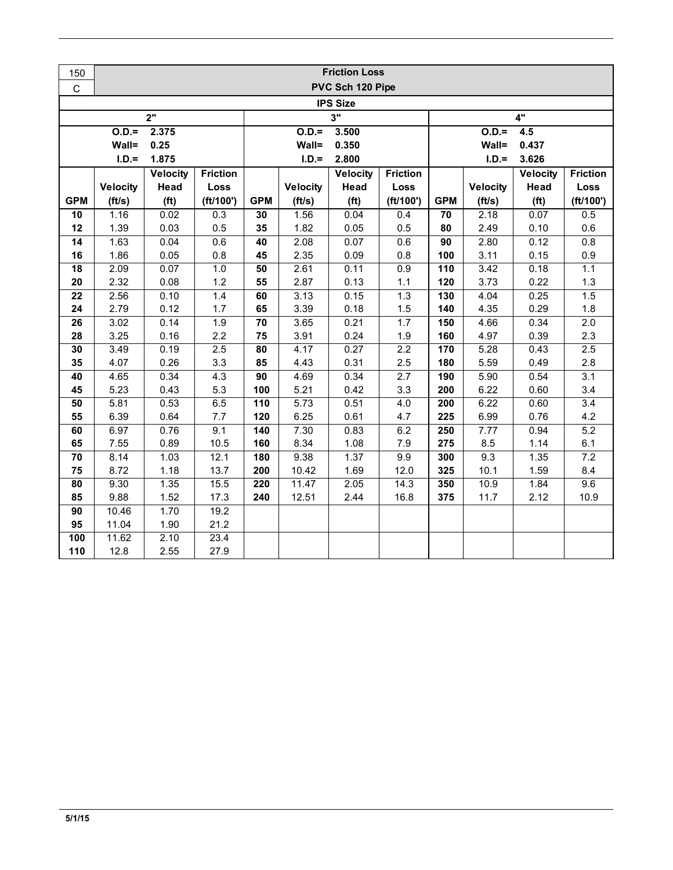| 150             | <b>Friction Loss</b>      |                   |                 |                  |                 |                   |                  |                  |                   |                   |                         |  |
|-----------------|---------------------------|-------------------|-----------------|------------------|-----------------|-------------------|------------------|------------------|-------------------|-------------------|-------------------------|--|
| $\mathsf C$     | PVC Sch 120 Pipe          |                   |                 |                  |                 |                   |                  |                  |                   |                   |                         |  |
| <b>IPS Size</b> |                           |                   |                 |                  |                 |                   |                  |                  |                   |                   |                         |  |
|                 | 2"<br>3"<br>4"            |                   |                 |                  |                 |                   |                  |                  |                   |                   |                         |  |
|                 | $O.D. =$                  | 2.375             |                 |                  | $O.D.=$         | 3.500             |                  | $O.D.=$<br>4.5   |                   |                   |                         |  |
|                 | Wall=                     | 0.25              |                 |                  | Wall=           | 0.350             |                  |                  | Wall=             | 0.437             |                         |  |
|                 | $I.D.=$                   | 1.875             |                 |                  | $I.D.=$         | 2.800             |                  |                  | $I.D.=$           | 3.626             |                         |  |
|                 |                           | <b>Velocity</b>   | <b>Friction</b> |                  |                 | <b>Velocity</b>   | <b>Friction</b>  |                  |                   | Velocity          | <b>Friction</b>         |  |
|                 | <b>Velocity</b>           | Head              | Loss            |                  | <b>Velocity</b> | Head              | Loss             |                  | <b>Velocity</b>   | Head              | <b>Loss</b>             |  |
| <b>GPM</b>      | (ft/s)                    | (f <sup>t</sup> ) | (ft/100')       | <b>GPM</b>       | (ft/s)          | (f <sup>t</sup> ) | (ft/100')        | <b>GPM</b>       | (ft/s)            | (f <sup>t</sup> ) | (ft/100')               |  |
| 10              | 1.16                      | 0.02              | 0.3             | 30               | 1.56            | 0.04              | 0.4              | 70               | 2.18              | 0.07              | 0.5                     |  |
| 12              | 1.39                      | 0.03              | 0.5             | 35               | 1.82            | 0.05              | 0.5              | 80               | 2.49              | 0.10              | 0.6                     |  |
| $\overline{14}$ | 1.63                      | 0.04              | 0.6             | 40               | 2.08            | 0.07              | 0.6              | 90               | 2.80              | 0.12              | 0.8                     |  |
| 16              | 1.86                      | 0.05              | 0.8             | 45               | 2.35            | 0.09              | 0.8              | 100              | 3.11              | 0.15              | 0.9                     |  |
| 18              | 2.09                      | 0.07              | 1.0             | 50               | 2.61            | 0.11              | 0.9              | 110              | 3.42              | 0.18              | 1.1                     |  |
| 20              | 2.32                      | 0.08              | 1.2             | 55               | 2.87            | 0.13              | 1.1              | 120              | 3.73              | 0.22              | 1.3                     |  |
| 22              | 2.56                      | 0.10              | 1.4             | 60               | 3.13            | 0.15              | 1.3              | 130              | 4.04              | 0.25              | 1.5                     |  |
| 24<br>26        | 2.79<br>$\overline{3.02}$ | 0.12<br>0.14      | 1.7<br>1.9      | 65<br>70         | 3.39<br>3.65    | 0.18<br>0.21      | 1.5<br>1.7       | 140<br>150       | 4.35<br>4.66      | 0.29<br>0.34      | 1.8<br>$\overline{2.0}$ |  |
| 28              | 3.25                      | 0.16              | 2.2             | 75               | 3.91            | 0.24              | 1.9              | 160              | 4.97              | 0.39              | 2.3                     |  |
| 30              | 3.49                      | 0.19              | 2.5             | 80               | 4.17            | 0.27              | $\overline{2.2}$ | 170              | 5.28              | 0.43              | 2.5                     |  |
| 35              | 4.07                      | 0.26              | 3.3             | 85               | 4.43            | 0.31              | 2.5              | 180              | 5.59              | 0.49              | 2.8                     |  |
| 40              | 4.65                      | 0.34              | 4.3             | 90               | 4.69            | 0.34              | 2.7              | 190              | 5.90              | 0.54              | 3.1                     |  |
| 45              | 5.23                      | 0.43              | 5.3             | 100              | 5.21            | 0.42              | 3.3              | 200              | 6.22              | 0.60              | 3.4                     |  |
| 50              | 5.81                      | 0.53              | 6.5             | 110              | 5.73            | 0.51              | 4.0              | $\overline{200}$ | 6.22              | 0.60              | 3.4                     |  |
| 55              | 6.39                      | 0.64              | 7.7             | 120              | 6.25            | 0.61              | 4.7              | 225              | 6.99              | 0.76              | 4.2                     |  |
| 60              | 6.97                      | 0.76              | 9.1             | 140              | 7.30            | 0.83              | 6.2              | 250              | $\overline{7.77}$ | 0.94              | $\overline{5.2}$        |  |
| 65              | 7.55                      | 0.89              | 10.5            | 160              | 8.34            | 1.08              | 7.9              | 275              | 8.5               | 1.14              | 6.1                     |  |
| 70              | 8.14                      | 1.03              | 12.1            | 180              | 9.38            | 1.37              | 9.9              | 300              | 9.3               | 1.35              | 7.2                     |  |
| 75              | 8.72                      | 1.18              | 13.7            | 200              | 10.42           | 1.69              | 12.0             | 325              | 10.1              | 1.59              | 8.4                     |  |
| 80              | 9.30                      | 1.35              | 15.5            | $\overline{220}$ | 11.47           | 2.05              | 14.3             | 350              | 10.9              | 1.84              | 9.6                     |  |
| 85              | 9.88                      | 1.52              | 17.3            | 240              | 12.51           | 2.44              | 16.8             | 375              | 11.7              | 2.12              | 10.9                    |  |
| $\overline{90}$ | 10.46                     | 1.70              | 19.2            |                  |                 |                   |                  |                  |                   |                   |                         |  |
| 95              | 11.04                     | 1.90              | 21.2            |                  |                 |                   |                  |                  |                   |                   |                         |  |
| 100             | 11.62                     | 2.10              | 23.4            |                  |                 |                   |                  |                  |                   |                   |                         |  |
| 110             | 12.8                      | 2.55              | 27.9            |                  |                 |                   |                  |                  |                   |                   |                         |  |